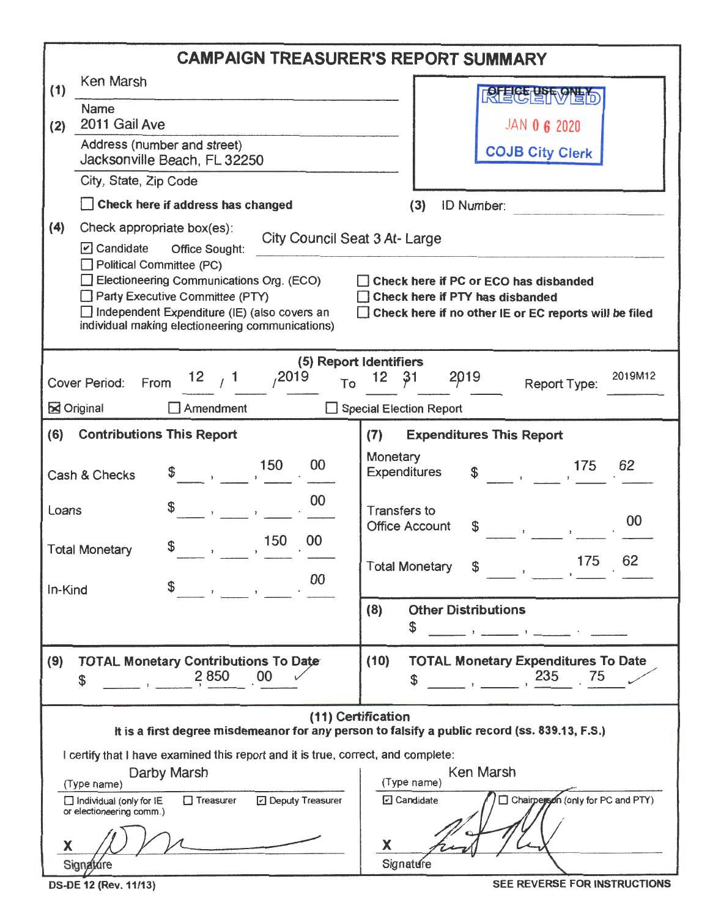| <b>CAMPAIGN TREASURER'S REPORT SUMMARY</b>                                                                          |                                                                                                                                                                                                                                                                                                                                                                                                                                                                              |                                                                                                                                                                                                                                                                               |  |  |  |  |  |  |  |
|---------------------------------------------------------------------------------------------------------------------|------------------------------------------------------------------------------------------------------------------------------------------------------------------------------------------------------------------------------------------------------------------------------------------------------------------------------------------------------------------------------------------------------------------------------------------------------------------------------|-------------------------------------------------------------------------------------------------------------------------------------------------------------------------------------------------------------------------------------------------------------------------------|--|--|--|--|--|--|--|
| (1)                                                                                                                 | Ken Marsh                                                                                                                                                                                                                                                                                                                                                                                                                                                                    |                                                                                                                                                                                                                                                                               |  |  |  |  |  |  |  |
| (2)                                                                                                                 | <b>Name</b><br>2011 Gail Ave                                                                                                                                                                                                                                                                                                                                                                                                                                                 | <b>JAN 0 6 2020</b>                                                                                                                                                                                                                                                           |  |  |  |  |  |  |  |
|                                                                                                                     | Address (number and street)<br>Jacksonville Beach, FL 32250                                                                                                                                                                                                                                                                                                                                                                                                                  | <b>COJB City Clerk</b>                                                                                                                                                                                                                                                        |  |  |  |  |  |  |  |
|                                                                                                                     | City, State, Zip Code                                                                                                                                                                                                                                                                                                                                                                                                                                                        |                                                                                                                                                                                                                                                                               |  |  |  |  |  |  |  |
|                                                                                                                     | Check here if address has changed                                                                                                                                                                                                                                                                                                                                                                                                                                            | <b>ID Number:</b><br>(3)                                                                                                                                                                                                                                                      |  |  |  |  |  |  |  |
| (4)                                                                                                                 | Check appropriate box(es):<br>City Council Seat 3 At-Large<br>$\triangleright$ Candidate<br>Office Sought:<br>Political Committee (PC)<br>Electioneering Communications Org. (ECO)<br>Check here if PC or ECO has disbanded<br>Party Executive Committee (PTY)<br>Check here if PTY has disbanded<br>$\Box$ independent Expenditure (IE) (also covers an<br>$\Box$ Check here if no other IE or EC reports will be filed<br>individual making electioneering communications) |                                                                                                                                                                                                                                                                               |  |  |  |  |  |  |  |
|                                                                                                                     |                                                                                                                                                                                                                                                                                                                                                                                                                                                                              | (5) Report Identifiers                                                                                                                                                                                                                                                        |  |  |  |  |  |  |  |
|                                                                                                                     | 12 $\frac{1}{1}$ $\frac{2019}{1}$<br>To<br><b>Cover Period:</b><br>From                                                                                                                                                                                                                                                                                                                                                                                                      | 2019<br>2019M12<br>$12 \quad 31$<br>Report Type:                                                                                                                                                                                                                              |  |  |  |  |  |  |  |
|                                                                                                                     | <b>M</b> Original<br>$\Box$ Amendment                                                                                                                                                                                                                                                                                                                                                                                                                                        | Special Election Report                                                                                                                                                                                                                                                       |  |  |  |  |  |  |  |
| (6)                                                                                                                 | <b>Contributions This Report</b>                                                                                                                                                                                                                                                                                                                                                                                                                                             | (7)<br><b>Expenditures This Report</b>                                                                                                                                                                                                                                        |  |  |  |  |  |  |  |
|                                                                                                                     | 150<br>00<br>Cash & Checks                                                                                                                                                                                                                                                                                                                                                                                                                                                   | Monetary<br>$\frac{175}{2}$<br>62<br><b>Expenditures</b><br>\$                                                                                                                                                                                                                |  |  |  |  |  |  |  |
| Loans                                                                                                               | 00                                                                                                                                                                                                                                                                                                                                                                                                                                                                           | <b>Transfers to</b><br>00<br><b>Office Account</b>                                                                                                                                                                                                                            |  |  |  |  |  |  |  |
|                                                                                                                     | 150<br>00<br><b>Total Monetary</b><br>$\overline{\phantom{a}}$                                                                                                                                                                                                                                                                                                                                                                                                               | 62<br>175<br><b>Total Monetary</b><br>\$                                                                                                                                                                                                                                      |  |  |  |  |  |  |  |
| In-Kind                                                                                                             | $00\,$<br>$\begin{array}{ccccccccccccc}\n\mathsf{S} & & & , & & \cdot & & \cdot & \cdot & \cdot\n\end{array}$                                                                                                                                                                                                                                                                                                                                                                |                                                                                                                                                                                                                                                                               |  |  |  |  |  |  |  |
|                                                                                                                     |                                                                                                                                                                                                                                                                                                                                                                                                                                                                              | <b>Other Distributions</b><br>(8)<br>\$<br>$\bullet$ . The contract of the contract of the contract of the contract of the contract of the contract of the contract of the contract of the contract of the contract of the contract of the contract of the contract of the co |  |  |  |  |  |  |  |
| (9)                                                                                                                 | <b>TOTAL Monetary Contributions To Date</b><br>2850<br>00<br>\$                                                                                                                                                                                                                                                                                                                                                                                                              | <b>TOTAL Monetary Expenditures To Date</b><br>(10)<br>235<br>75<br>\$                                                                                                                                                                                                         |  |  |  |  |  |  |  |
| (11) Certification<br>It is a first degree misdemeanor for any person to falsify a public record (ss. 839.13, F.S.) |                                                                                                                                                                                                                                                                                                                                                                                                                                                                              |                                                                                                                                                                                                                                                                               |  |  |  |  |  |  |  |
| I certify that I have examined this report and it is true, correct, and complete:                                   |                                                                                                                                                                                                                                                                                                                                                                                                                                                                              |                                                                                                                                                                                                                                                                               |  |  |  |  |  |  |  |
|                                                                                                                     | Darby Marsh<br>(Type name)                                                                                                                                                                                                                                                                                                                                                                                                                                                   | Ken Marsh<br>(Type name)                                                                                                                                                                                                                                                      |  |  |  |  |  |  |  |
|                                                                                                                     | □ Treasurer<br>D Deputy Treasurer<br>Individual (only for IE<br>or electioneering comm.)                                                                                                                                                                                                                                                                                                                                                                                     | Chairperson (only for PC and PTY)<br><b>2</b> Candidate                                                                                                                                                                                                                       |  |  |  |  |  |  |  |
| X                                                                                                                   |                                                                                                                                                                                                                                                                                                                                                                                                                                                                              | X                                                                                                                                                                                                                                                                             |  |  |  |  |  |  |  |
|                                                                                                                     | Signature                                                                                                                                                                                                                                                                                                                                                                                                                                                                    | Signature                                                                                                                                                                                                                                                                     |  |  |  |  |  |  |  |

| <b>DS-DE 12 (Rev. 11/13)</b> |  |  |  |  |
|------------------------------|--|--|--|--|
|------------------------------|--|--|--|--|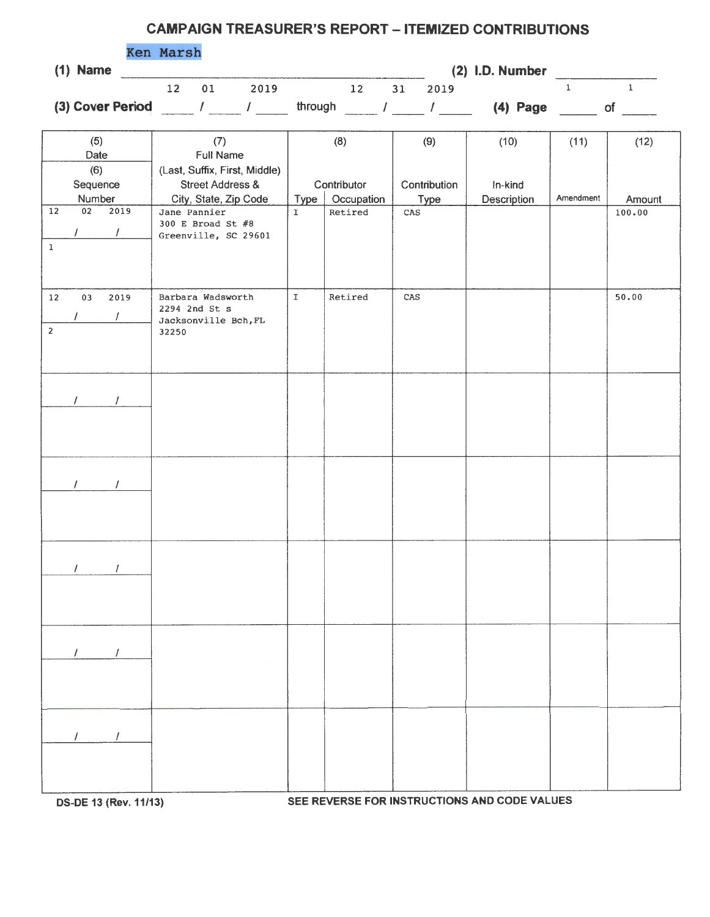## **CAMPAIGN TREASURER'S REPORT - ITEMIZED CONTRIBUTIONS**

|                  | <b>Ken Marsh</b> |    |      |         |    |    |      |                   |    |
|------------------|------------------|----|------|---------|----|----|------|-------------------|----|
| $(1)$ Name       |                  |    |      |         |    |    |      | $(2)$ I.D. Number |    |
|                  |                  | 01 | 2019 |         | 12 | 31 | 2019 |                   |    |
| (3) Cover Period |                  |    |      | through |    |    |      | $(4)$ Page        | ΟĪ |

|                            | (5)<br>Date               | (7)<br><b>Full Name</b>                                                               |             | (8)                       | (9)                         | (10)                   | (11)      | (12)   |
|----------------------------|---------------------------|---------------------------------------------------------------------------------------|-------------|---------------------------|-----------------------------|------------------------|-----------|--------|
|                            | (6)<br>Sequence<br>Number | (Last, Suffix, First, Middle)<br><b>Street Address &amp;</b><br>City, State, Zip Code | Type        | Contributor<br>Occupation | Contribution<br><b>Type</b> | In-kind<br>Description | Amendment | Amount |
| $\overline{12}$<br>$\,1$   | 02<br>2019<br>$\prime$    | Jane Pannier<br>300 E Broad St $#8$<br>Greenville, SC 29601                           | $\mathbf T$ | Retired                   | $\mbox{CAS}$                |                        |           | 100.00 |
| $12\,$<br>$\boldsymbol{2}$ | 03<br>2019                | Barbara Wadsworth<br>2294 2nd St s<br>Jacksonville Bch, FL<br>32250                   | $\mathtt I$ | Retired                   | $\mbox{CAS}$                |                        |           | 50.00  |
|                            | $\sqrt{ }$<br>$\prime$    |                                                                                       |             |                           |                             |                        |           |        |
|                            | $\prime$<br>$\prime$      |                                                                                       |             |                           |                             |                        |           |        |
|                            | $\sqrt{ }$<br>$\prime$    |                                                                                       |             |                           |                             |                        |           |        |
|                            |                           |                                                                                       |             |                           |                             |                        |           |        |
|                            |                           |                                                                                       |             |                           |                             |                        |           |        |

**OS-DE 13 {Rev. 11/13) SEE REVERSE FOR INSTRUCTIONS AND CODE VALUES**